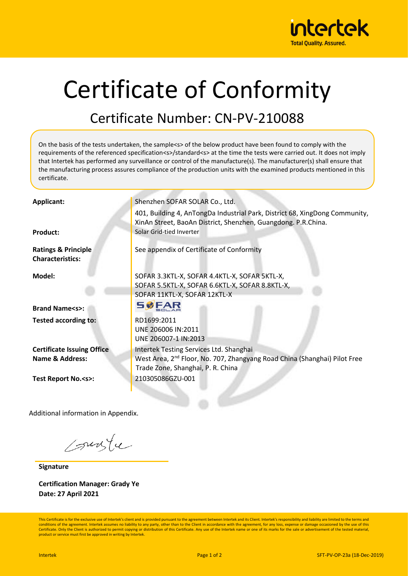

## Certificate of Conformity

## Certificate Number: CN-PV-210088

On the basis of the tests undertaken, the sample<s> of the below product have been found to comply with the requirements of the referenced specification<s>/standard<s> at the time the tests were carried out. It does not imply that Intertek has performed any surveillance or control of the manufacture(s). The manufacturer(s) shall ensure that the manufacturing process assures compliance of the production units with the examined products mentioned in this certificate. Applicant: Shenzhen SOFAR SOLAR Co., Ltd. 401, Building 4, AnTongDa Industrial Park, District 68, XingDong Community, XinAn Street, BaoAn District, Shenzhen, Guangdong. P.R.China. **Product:** Solar Grid-tied Inverter **Ratings & Principle**  See appendix of Certificate of Conformity **Characteristics: Model:** SOFAR 3.3KTL-X, SOFAR 4.4KTL-X, SOFAR 5KTL-X, SOFAR 5.5KTL-X, SOFAR 6.6KTL-X, SOFAR 8.8KTL-X, SOFAR 11KTL-X, SOFAR 12KTL-X **SØFAR Brand Name<s>: Tested according to:** RD1699:2011 UNE 206006 IN:2011 UNE 206007-1 IN:2013 **Certificate Issuing Office** Intertek Testing Services Ltd. Shanghai West Area, 2nd Floor, No. 707, Zhangyang Road China (Shanghai) Pilot Free **Name & Address:** Trade Zone, Shanghai, P. R. China **Test Report No.<s>:** 210305086GZU-001

Additional information in Appendix.

sunte

**Signature**

**Certification Manager: Grady Ye Date: 27 April 2021**

This Certificate is for the exclusive use of Intertek's client and is provided pursuant to the agreement between Intertek and its Client. Intertek's responsibility and liability are limited to the terms and conditions of the agreement. Intertek assumes no liability to any party, other than to the Client in accordance with the agreement, for any loss, expense or damage occasioned by the use of this Certificate. Only the Client is authorized to permit copying or distribution of this Certificate. Any use of the Intertek name or one of its marks for the sale or advertisement of the tested material product or service must first be approved in writing by Intertek.